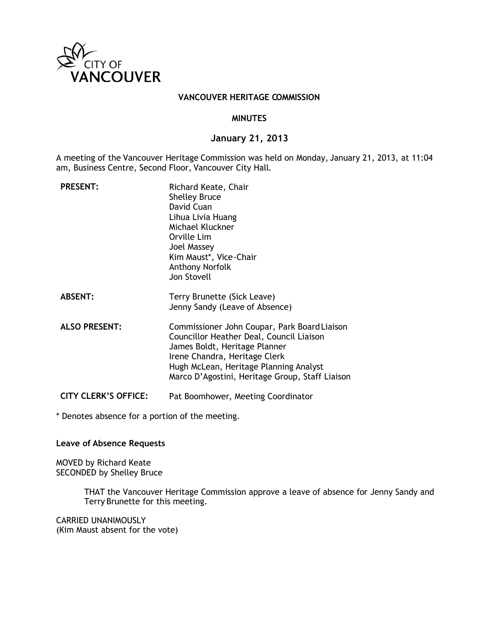

## **VANCOUVER HERITAGE COMMISSION**

## **MINUTES**

## **January 21, 2013**

A meeting of the Vancouver Heritage Commission was held on Monday, January 21, 2013, at 11:04 am, Business Centre, Second Floor, Vancouver City Hall.

| <b>PRESENT:</b>             | Richard Keate, Chair<br><b>Shelley Bruce</b><br>David Cuan<br>Lihua Livia Huang<br>Michael Kluckner<br>Orville Lim<br>Joel Massey<br>Kim Maust*, Vice-Chair<br><b>Anthony Norfolk</b><br>Jon Stovell                                                    |
|-----------------------------|---------------------------------------------------------------------------------------------------------------------------------------------------------------------------------------------------------------------------------------------------------|
| <b>ABSENT:</b>              | Terry Brunette (Sick Leave)<br>Jenny Sandy (Leave of Absence)                                                                                                                                                                                           |
| <b>ALSO PRESENT:</b>        | Commissioner John Coupar, Park Board Liaison<br>Councillor Heather Deal, Council Liaison<br>James Boldt, Heritage Planner<br>Irene Chandra, Heritage Clerk<br>Hugh McLean, Heritage Planning Analyst<br>Marco D'Agostini, Heritage Group, Staff Liaison |
| <b>CITY CLERK'S OFFICE:</b> | Pat Boomhower, Meeting Coordinator                                                                                                                                                                                                                      |

\* Denotes absence for a portion of the meeting.

## **Leave of Absence Requests**

MOVED by Richard Keate SECONDED by Shelley Bruce

> THAT the Vancouver Heritage Commission approve a leave of absence for Jenny Sandy and Terry Brunette for this meeting.

CARRIED UNANIMOUSLY (Kim Maust absent for the vote)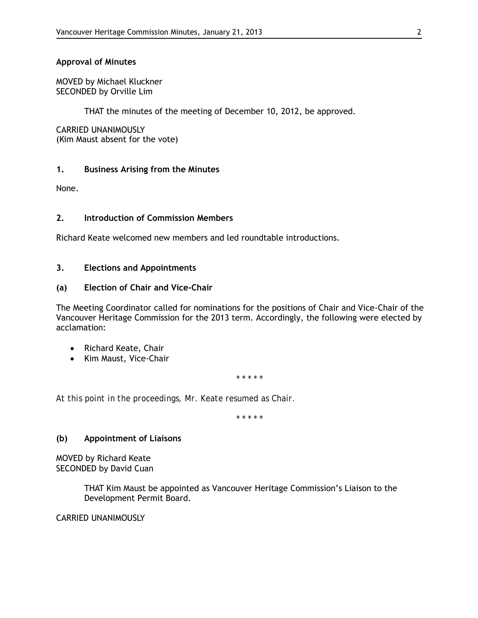## **Approval of Minutes**

MOVED by Michael Kluckner SECONDED by Orville Lim

THAT the minutes of the meeting of December 10, 2012, be approved.

CARRIED UNANIMOUSLY (Kim Maust absent for the vote)

## **1. Business Arising from the Minutes**

None.

## **2. Introduction of Commission Members**

Richard Keate welcomed new members and led roundtable introductions.

## **3. Elections and Appointments**

## **(a) Election of Chair and Vice-Chair**

The Meeting Coordinator called for nominations for the positions of Chair and Vice-Chair of the Vancouver Heritage Commission for the 2013 term. Accordingly, the following were elected by acclamation:

- Richard Keate, Chair
- Kim Maust, Vice-Chair

*\* \* \* \* \**

*At this point in the proceedings, Mr. Keate resumed as Chair.*

*\* \* \* \* \**

## **(b) Appointment of Liaisons**

MOVED by Richard Keate SECONDED by David Cuan

> THAT Kim Maust be appointed as Vancouver Heritage Commission's Liaison to the Development Permit Board.

## CARRIED UNANIMOUSLY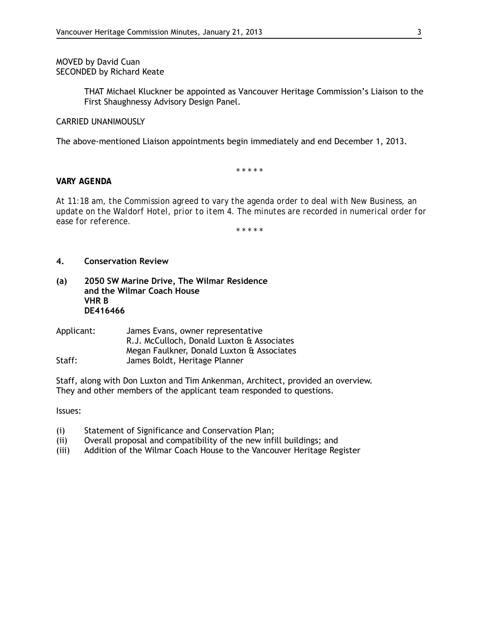## MOVED by David Cuan SECONDED by Richard Keate

THAT Michael Kluckner be appointed as Vancouver Heritage Commission's Liaison to the First Shaughnessy Advisory Design Panel.

#### CARRIED UNANIMOUSLY

The above-mentioned Liaison appointments begin immediately and end December 1, 2013.

*\* \* \* \* \**

#### *VARY AGENDA*

*At 11:18 am, the Commission agreed to vary the agenda order to deal with New Business, an update on the Waldorf Hotel, prior to item 4. The minutes are recorded in numerical order for ease for reference.* 

*\* \* \* \* \**

#### **4. Conservation Review**

- **(a) 2050 SW Marine Drive, The Wilmar Residence and the Wilmar Coach House VHR B DE416466**
- Applicant: James Evans, owner representative R.J. McCulloch, Donald Luxton & Associates Megan Faulkner, Donald Luxton & Associates Staff: James Boldt, Heritage Planner

Staff, along with Don Luxton and Tim Ankenman, Architect, provided an overview. They and other members of the applicant team responded to questions.

Issues:

- (i) Statement of Significance and Conservation Plan;
- (ii) Overall proposal and compatibility of the new infill buildings; and
- (iii) Addition of the Wilmar Coach House to the Vancouver Heritage Register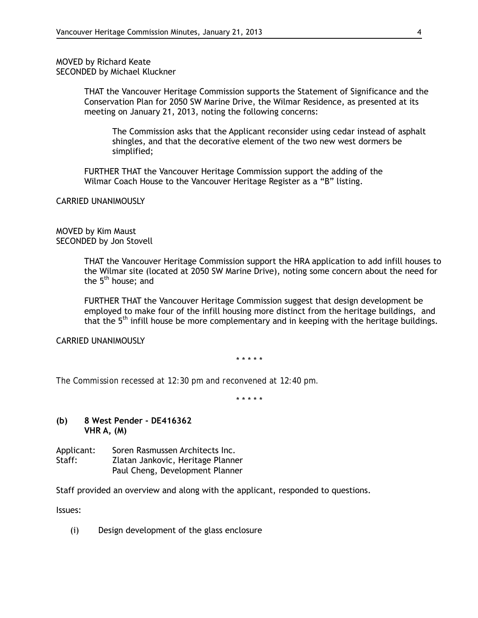MOVED by Richard Keate SECONDED by Michael Kluckner

> THAT the Vancouver Heritage Commission supports the Statement of Significance and the Conservation Plan for 2050 SW Marine Drive, the Wilmar Residence, as presented at its meeting on January 21, 2013, noting the following concerns:

The Commission asks that the Applicant reconsider using cedar instead of asphalt shingles, and that the decorative element of the two new west dormers be simplified;

FURTHER THAT the Vancouver Heritage Commission support the adding of the Wilmar Coach House to the Vancouver Heritage Register as a "B" listing.

CARRIED UNANIMOUSLY

MOVED by Kim Maust SECONDED by Jon Stovell

> THAT the Vancouver Heritage Commission support the HRA application to add infill houses to the Wilmar site (located at 2050 SW Marine Drive), noting some concern about the need for the  $5<sup>th</sup>$  house; and

FURTHER THAT the Vancouver Heritage Commission suggest that design development be employed to make four of the infill housing more distinct from the heritage buildings, and that the 5<sup>th</sup> infill house be more complementary and in keeping with the heritage buildings.

CARRIED UNANIMOUSLY

\* \* \* \* \*

*The Commission recessed at 12:30 pm and reconvened at 12:40 pm.*

\* \* \* \* \*

#### **(b) 8 West Pender - DE416362 VHR A, (M)**

| Applicant: | Soren Rasmussen Architects Inc.   |
|------------|-----------------------------------|
| Staff:     | Zlatan Jankovic, Heritage Planner |
|            | Paul Cheng, Development Planner   |

Staff provided an overview and along with the applicant, responded to questions.

Issues:

(i) Design development of the glass enclosure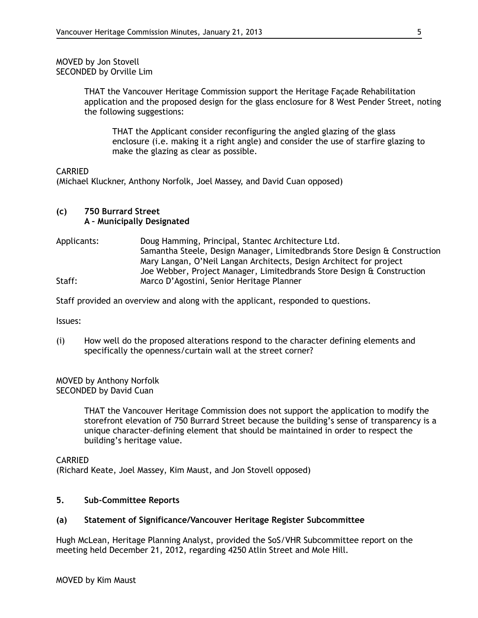#### MOVED by Jon Stovell SECONDED by Orville Lim

THAT the Vancouver Heritage Commission support the Heritage Façade Rehabilitation application and the proposed design for the glass enclosure for 8 West Pender Street, noting the following suggestions:

THAT the Applicant consider reconfiguring the angled glazing of the glass enclosure (i.e. making it a right angle) and consider the use of starfire glazing to make the glazing as clear as possible.

## CARRIED

(Michael Kluckner, Anthony Norfolk, Joel Massey, and David Cuan opposed)

## **(c) 750 Burrard Street A – Municipally Designated**

Applicants: Doug Hamming, Principal, Stantec Architecture Ltd. Samantha Steele, Design Manager, Limitedbrands Store Design & Construction Mary Langan, O'Neil Langan Architects, Design Architect for project Joe Webber, Project Manager, Limitedbrands Store Design & Construction Staff: Marco D'Agostini, Senior Heritage Planner

Staff provided an overview and along with the applicant, responded to questions.

Issues:

(i) How well do the proposed alterations respond to the character defining elements and specifically the openness/curtain wall at the street corner?

MOVED by Anthony Norfolk SECONDED by David Cuan

> THAT the Vancouver Heritage Commission does not support the application to modify the storefront elevation of 750 Burrard Street because the building's sense of transparency is a unique character-defining element that should be maintained in order to respect the building's heritage value.

## CARRIED (Richard Keate, Joel Massey, Kim Maust, and Jon Stovell opposed)

## **5. Sub-Committee Reports**

## **(a) Statement of Significance/Vancouver Heritage Register Subcommittee**

Hugh McLean, Heritage Planning Analyst, provided the SoS/VHR Subcommittee report on the meeting held December 21, 2012, regarding 4250 Atlin Street and Mole Hill.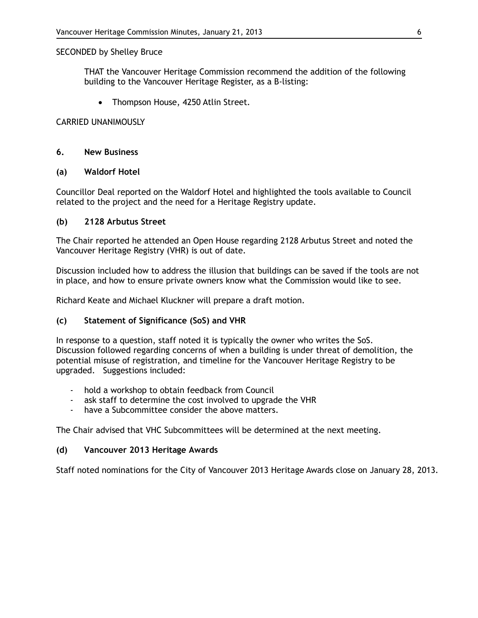#### SECONDED by Shelley Bruce

THAT the Vancouver Heritage Commission recommend the addition of the following building to the Vancouver Heritage Register, as a B-listing:

• Thompson House, 4250 Atlin Street.

#### CARRIED UNANIMOUSLY

#### **6. New Business**

#### **(a) Waldorf Hotel**

Councillor Deal reported on the Waldorf Hotel and highlighted the tools available to Council related to the project and the need for a Heritage Registry update.

#### **(b) 2128 Arbutus Street**

The Chair reported he attended an Open House regarding 2128 Arbutus Street and noted the Vancouver Heritage Registry (VHR) is out of date.

Discussion included how to address the illusion that buildings can be saved if the tools are not in place, and how to ensure private owners know what the Commission would like to see.

Richard Keate and Michael Kluckner will prepare a draft motion.

## **(c) Statement of Significance (SoS) and VHR**

In response to a question, staff noted it is typically the owner who writes the SoS. Discussion followed regarding concerns of when a building is under threat of demolition, the potential misuse of registration, and timeline for the Vancouver Heritage Registry to be upgraded. Suggestions included:

- hold a workshop to obtain feedback from Council
- ask staff to determine the cost involved to upgrade the VHR
- have a Subcommittee consider the above matters.

The Chair advised that VHC Subcommittees will be determined at the next meeting.

#### **(d) Vancouver 2013 Heritage Awards**

Staff noted nominations for the City of Vancouver 2013 Heritage Awards close on January 28, 2013.